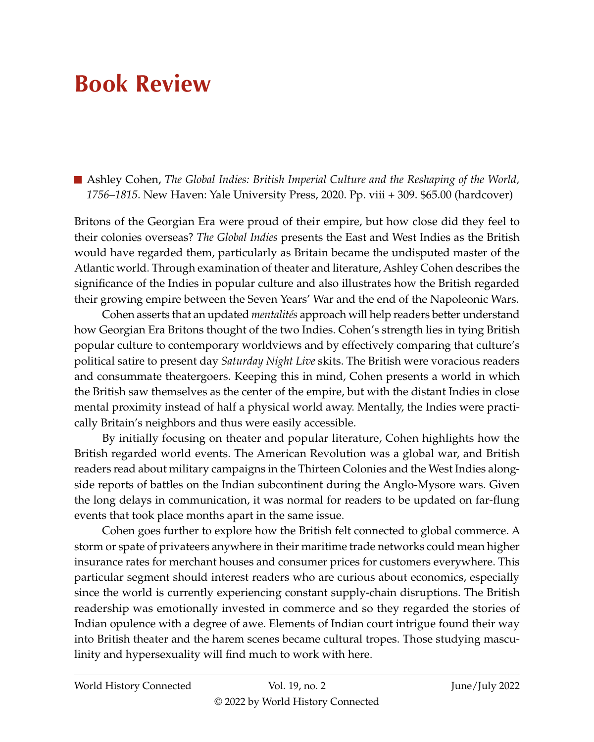## **Book Review**

■ Ashley Cohen, *The Global Indies: British Imperial Culture and the Reshaping of the World*, *1756–1815*. New Haven: Yale University Press, 2020. Pp. viii + 309. \$65.00 (hardcover)

Britons of the Georgian Era were proud of their empire, but how close did they feel to their colonies overseas? *The Global Indies* presents the East and West Indies as the British would have regarded them, particularly as Britain became the undisputed master of the Atlantic world. Through examination of theater and literature, Ashley Cohen describes the significance of the Indies in popular culture and also illustrates how the British regarded their growing empire between the Seven Years' War and the end of the Napoleonic Wars.

Cohen asserts that an updated *mentalités* approach will help readers better understand how Georgian Era Britons thought of the two Indies. Cohen's strength lies in tying British popular culture to contemporary worldviews and by effectively comparing that culture's political satire to present day *Saturday Night Live* skits. The British were voracious readers and consummate theatergoers. Keeping this in mind, Cohen presents a world in which the British saw themselves as the center of the empire, but with the distant Indies in close mental proximity instead of half a physical world away. Mentally, the Indies were practically Britain's neighbors and thus were easily accessible.

By initially focusing on theater and popular literature, Cohen highlights how the British regarded world events. The American Revolution was a global war, and British readers read about military campaigns in the Thirteen Colonies and the West Indies alongside reports of battles on the Indian subcontinent during the Anglo-Mysore wars. Given the long delays in communication, it was normal for readers to be updated on far-flung events that took place months apart in the same issue.

Cohen goes further to explore how the British felt connected to global commerce. A storm or spate of privateers anywhere in their maritime trade networks could mean higher insurance rates for merchant houses and consumer prices for customers everywhere. This particular segment should interest readers who are curious about economics, especially since the world is currently experiencing constant supply-chain disruptions. The British readership was emotionally invested in commerce and so they regarded the stories of Indian opulence with a degree of awe. Elements of Indian court intrigue found their way into British theater and the harem scenes became cultural tropes. Those studying masculinity and hypersexuality will find much to work with here.